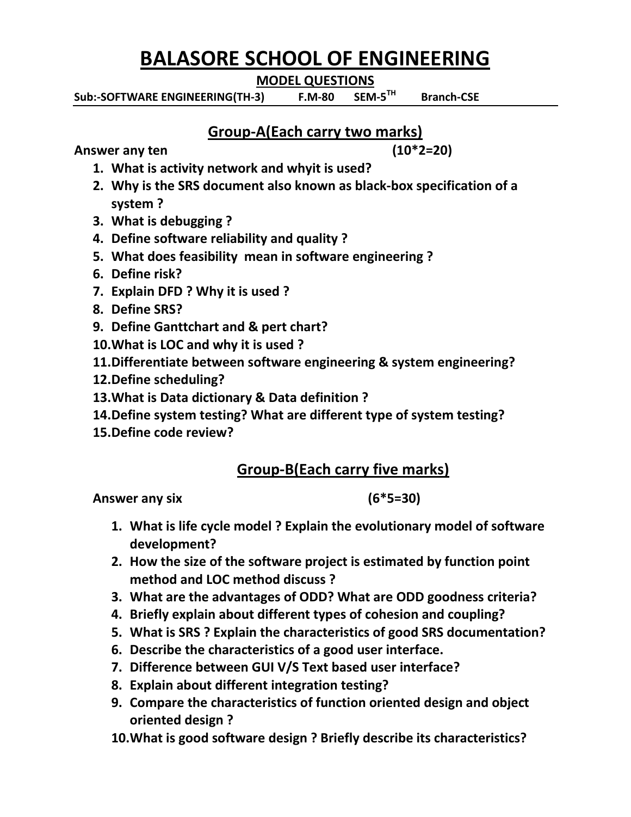# **BALASORE SCHOOL OF ENGINEERING**

**MODEL QUESTIONS**

Sub:-SOFTWARE ENGINEERING(TH-3) F.M-80 SEM-5<sup>TH</sup>  **Branch-CSE**

## **Group-A(Each carry two marks)**

Answer any ten (10<sup>\*</sup>2=20)

- **1. What is activity network and whyit is used?**
- **2. Why is the SRS document also known as black-box specification of a system ?**
- **3. What is debugging ?**
- **4. Define software reliability and quality ?**
- **5. What does feasibility mean in software engineering ?**
- **6. Define risk?**
- **7. Explain DFD ? Why it is used ?**
- **8. Define SRS?**
- **9. Define Ganttchart and & pert chart?**
- **10.What is LOC and why it is used ?**
- **11.Differentiate between software engineering & system engineering?**
- **12.Define scheduling?**
- **13.What is Data dictionary & Data definition ?**
- **14.Define system testing? What are different type of system testing?**
- **15.Define code review?**

## **Group-B(Each carry five marks)**

**Answer any six (6\*5=30)**

- **1. What is life cycle model ? Explain the evolutionary model of software development?**
- **2. How the size of the software project is estimated by function point method and LOC method discuss ?**
- **3. What are the advantages of ODD? What are ODD goodness criteria?**
- **4. Briefly explain about different types of cohesion and coupling?**
- **5. What is SRS ? Explain the characteristics of good SRS documentation?**
- **6. Describe the characteristics of a good user interface.**
- **7. Difference between GUI V/S Text based user interface?**
- **8. Explain about different integration testing?**
- **9. Compare the characteristics of function oriented design and object oriented design ?**
- **10.What is good software design ? Briefly describe its characteristics?**